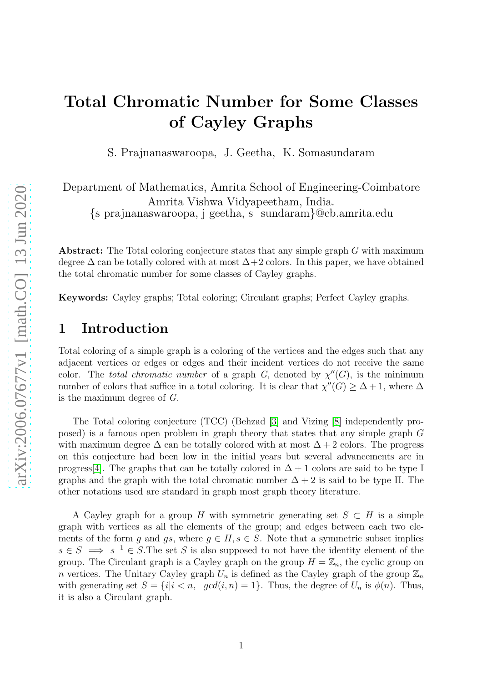## Total Chromatic Number for Some Classes of Cayley Graphs

S. Prajnanaswaroopa, J. Geetha, K. Somasundaram

Department of Mathematics, Amrita School of Engineering-Coimbatore Amrita Vishwa Vidyapeetham, India. {s prajnanaswaroopa, j geetha, s sundaram}@cb.amrita.edu

Abstract: The Total coloring conjecture states that any simple graph G with maximum degree  $\Delta$  can be totally colored with at most  $\Delta+2$  colors. In this paper, we have obtained the total chromatic number for some classes of Cayley graphs.

Keywords: Cayley graphs; Total coloring; Circulant graphs; Perfect Cayley graphs.

## 1 Introduction

Total coloring of a simple graph is a coloring of the vertices and the edges such that any adjacent vertices or edges or edges and their incident vertices do not receive the same color. The total chromatic number of a graph G, denoted by  $\chi''(G)$ , is the minimum number of colors that suffice in a total coloring. It is clear that  $\chi''(G) \geq \Delta + 1$ , where  $\Delta$ is the maximum degree of G.

The Total coloring conjecture (TCC) (Behzad [\[3\]](#page-9-0) and Vizing [\[8\]](#page-10-0) independently proposed) is a famous open problem in graph theory that states that any simple graph G with maximum degree  $\Delta$  can be totally colored with at most  $\Delta + 2$  colors. The progress on this conjecture had been low in the initial years but several advancements are in progress[\[4\]](#page-10-1). The graphs that can be totally colored in  $\Delta + 1$  colors are said to be type I graphs and the graph with the total chromatic number  $\Delta + 2$  is said to be type II. The other notations used are standard in graph most graph theory literature.

A Cayley graph for a group H with symmetric generating set  $S \subset H$  is a simple graph with vertices as all the elements of the group; and edges between each two elements of the form q and qs, where  $q \in H$ ,  $s \in S$ . Note that a symmetric subset implies  $s \in S \implies s^{-1} \in S$ . The set S is also supposed to not have the identity element of the group. The Circulant graph is a Cayley graph on the group  $H = \mathbb{Z}_n$ , the cyclic group on n vertices. The Unitary Cayley graph  $U_n$  is defined as the Cayley graph of the group  $\mathbb{Z}_n$ with generating set  $S = \{i | i \leq n, \text{ gcd}(i, n) = 1\}$ . Thus, the degree of  $U_n$  is  $\phi(n)$ . Thus, it is also a Circulant graph.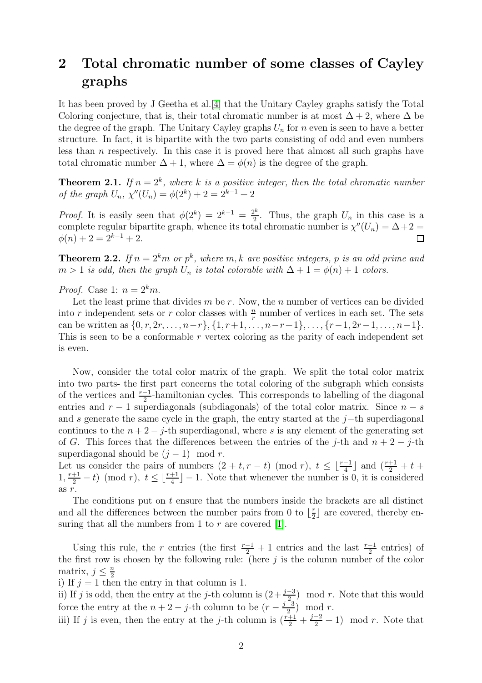## 2 Total chromatic number of some classes of Cayley graphs

It has been proved by J Geetha et al.[\[4\]](#page-10-1) that the Unitary Cayley graphs satisfy the Total Coloring conjecture, that is, their total chromatic number is at most  $\Delta + 2$ , where  $\Delta$  be the degree of the graph. The Unitary Cayley graphs  $U_n$  for n even is seen to have a better structure. In fact, it is bipartite with the two parts consisting of odd and even numbers less than  $n$  respectively. In this case it is proved here that almost all such graphs have total chromatic number  $\Delta + 1$ , where  $\Delta = \phi(n)$  is the degree of the graph.

**Theorem 2.1.** If  $n = 2^k$ , where k is a positive integer, then the total chromatic number of the graph  $U_n$ ,  $\chi''(U_n) = \phi(2^k) + 2 = 2^{k-1} + 2$ 

*Proof.* It is easily seen that  $\phi(2^k) = 2^{k-1} = \frac{2^k}{2}$  $\frac{2^{n}}{2}$ . Thus, the graph  $U_n$  in this case is a complete regular bipartite graph, whence its total chromatic number is  $\chi''(U_n) = \Delta + 2 =$  $\phi(n) + 2 = 2^{k-1} + 2.$  $\Box$ 

**Theorem 2.2.** If  $n = 2^k m$  or  $p^k$ , where  $m, k$  are positive integers, p is an odd prime and  $m > 1$  is odd, then the graph  $U_n$  is total colorable with  $\Delta + 1 = \phi(n) + 1$  colors.

*Proof.* Case 1:  $n = 2^k m$ .

Let the least prime that divides  $m$  be  $r$ . Now, the  $n$  number of vertices can be divided into r independent sets or r color classes with  $\frac{n}{r}$  number of vertices in each set. The sets can be written as  $\{0, r, 2r, \ldots, n-r\}, \{1, r+1, \ldots, n-r+1\}, \ldots, \{r-1, 2r-1, \ldots, n-1\}.$ This is seen to be a conformable  $r$  vertex coloring as the parity of each independent set is even.

Now, consider the total color matrix of the graph. We split the total color matrix into two parts- the first part concerns the total coloring of the subgraph which consists of the vertices and  $\frac{r-1}{2}$ -hamiltonian cycles. This corresponds to labelling of the diagonal entries and  $r - 1$  superdiagonals (subdiagonals) of the total color matrix. Since  $n - s$ and s generate the same cycle in the graph, the entry started at the j−th superdiagonal continues to the  $n + 2 - j$ -th superdiagonal, where s is any element of the generating set of G. This forces that the differences between the entries of the j-th and  $n + 2 - j$ -th superdiagonal should be  $(j-1) \mod r$ .

Let us consider the pairs of numbers  $(2 + t, r - t) \pmod{r}$ ,  $t \leq \lfloor \frac{r-1}{4} \rfloor$  and  $\left(\frac{r+1}{2} + t + \frac{1}{2}\right)$  $1, \frac{r+1}{2} - t$  (mod r),  $t \leq \lfloor \frac{r+1}{4} \rfloor - 1$ . Note that whenever the number is 0, it is considered as r.

The conditions put on  $t$  ensure that the numbers inside the brackets are all distinct and all the differences between the number pairs from 0 to  $\frac{r}{2}$  $\frac{r}{2}$  are covered, thereby ensuring that all the numbers from 1 to  $r$  are covered [\[1\]](#page-9-1).

Using this rule, the r entries (the first  $\frac{r-1}{2} + 1$  entries and the last  $\frac{r-1}{2}$  entries) of the first row is chosen by the following rule: (here  $j$  is the column number of the color matrix,  $j \leq \frac{n}{2}$ 2

i) If  $j = 1$  then the entry in that column is 1.

ii) If j is odd, then the entry at the j-th column is  $(2+\frac{j-3}{2})$  mod r. Note that this would force the entry at the  $n + 2 - j$ -th column to be  $(r - \frac{j-3}{2})$  $\frac{-3}{2}$  mod r.

iii) If j is even, then the entry at the j-th column is  $(\frac{r+1}{2} + \frac{j-2}{2} + 1) \mod r$ . Note that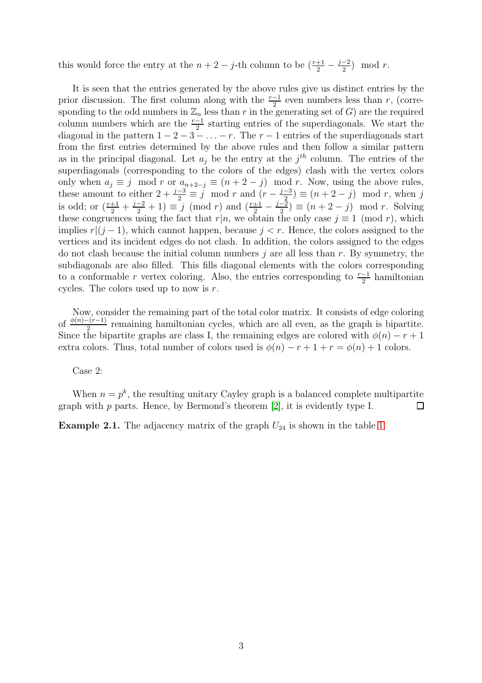this would force the entry at the  $n + 2 - j$ -th column to be  $\left(\frac{r+1}{2} - \frac{j-2}{2}\right)$  $\frac{-2}{2}$  mod r.

It is seen that the entries generated by the above rules give us distinct entries by the prior discussion. The first column along with the  $\frac{r-1}{2}$  even numbers less than r, (corresponding to the odd numbers in  $\mathbb{Z}_n$  less than r in the generating set of G) are the required column numbers which are the  $\frac{r-1}{2}$  starting entries of the superdiagonals. We start the diagonal in the pattern  $1 - 2 - 3 - \ldots - r$ . The  $r - 1$  entries of the superdiagonals start from the first entries determined by the above rules and then follow a similar pattern as in the principal diagonal. Let  $a_j$  be the entry at the  $j<sup>th</sup>$  column. The entries of the superdiagonals (corresponding to the colors of the edges) clash with the vertex colors only when  $a_i \equiv j \mod r$  or  $a_{n+2-j} \equiv (n+2-j) \mod r$ . Now, using the above rules, these amount to either  $2 + \frac{j-3}{2} \equiv j \mod r$  and  $(r - \frac{j-3}{2})$  $\frac{-3}{2}$ )  $\equiv$   $(n+2-j)$  mod r, when j is odd; or  $\left(\frac{r+1}{2} + \frac{j-2}{2} + 1\right) \equiv j \pmod{r}$  and  $\left(\frac{r+1}{2} - \frac{j-2}{2}\right)$  $\frac{-2}{2}$ )  $\equiv (n+2-j) \mod r$ . Solving these congruences using the fact that  $r|n$ , we obtain the only case  $j \equiv 1 \pmod{r}$ , which implies  $r|(j-1)$ , which cannot happen, because  $j < r$ . Hence, the colors assigned to the vertices and its incident edges do not clash. In addition, the colors assigned to the edges do not clash because the initial column numbers  $j$  are all less than  $r$ . By symmetry, the subdiagonals are also filled. This fills diagonal elements with the colors corresponding to a conformable r vertex coloring. Also, the entries corresponding to  $\frac{r-1}{2}$  hamiltonian cycles. The colors used up to now is r.

Now, consider the remaining part of the total color matrix. It consists of edge coloring of  $\frac{\phi(n)-(r-1)}{2}$  remaining hamiltonian cycles, which are all even, as the graph is bipartite. Since the bipartite graphs are class I, the remaining edges are colored with  $\phi(n) - r + 1$ extra colors. Thus, total number of colors used is  $\phi(n) - r + 1 + r = \phi(n) + 1$  colors.

Case 2:

When  $n = p^k$ , the resulting unitary Cayley graph is a balanced complete multipartite graph with  $p$  parts. Hence, by Bermond's theorem [\[2\]](#page-9-2), it is evidently type I.  $\Box$ 

**Example 2.1.** The adjacency matrix of the graph  $U_{24}$  is shown in the table [1.](#page-3-0)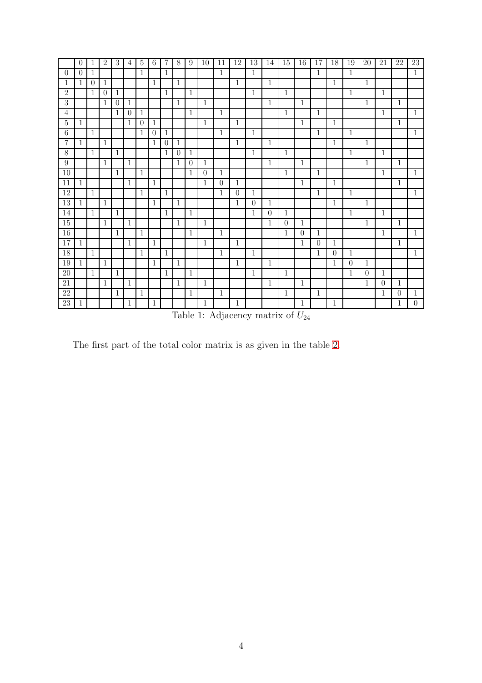<span id="page-3-0"></span>

|                 | $\theta$     | 1              | 2              | 3            | 4              | $\overline{5}$ | 6              | 7            | 8              | 9            | 10           | 11             | 12           | 13             | 14             | 15             | 16           | 17           | 18           | 19             | 20           | 21             | 22           | $23\,$         |
|-----------------|--------------|----------------|----------------|--------------|----------------|----------------|----------------|--------------|----------------|--------------|--------------|----------------|--------------|----------------|----------------|----------------|--------------|--------------|--------------|----------------|--------------|----------------|--------------|----------------|
| $\overline{0}$  | $\theta$     | 1              |                |              |                | $\mathbf{1}$   |                | 1            |                |              |              | $\mathbf{1}$   |              | $\mathbf{1}$   |                |                |              | $\mathbf{1}$ |              | $\mathbf{1}$   |              |                |              | $\overline{1}$ |
| $\mathbf{1}$    | 1            | $\overline{0}$ | $\mathbf{1}$   |              |                |                | $\mathbf{1}$   |              | $\mathbf{1}$   |              |              |                | $\mathbf{1}$ |                | $\mathbf{1}$   |                |              |              | $\mathbf{1}$ |                | $\mathbf{1}$ |                |              |                |
| $\overline{2}$  |              | $\mathbf{1}$   | $\overline{0}$ | 1            |                |                |                | 1            |                | 1            |              |                |              | $\mathbf{1}$   |                | $\mathbf{1}$   |              |              |              | 1              |              | $\mathbf{1}$   |              |                |
| $\overline{3}$  |              |                | 1              | $\theta$     | 1              |                |                |              | $\mathbf{1}$   |              | $\mathbf{1}$ |                |              |                | $\mathbf{1}$   |                | $\mathbf{1}$ |              |              |                | $\mathbf{1}$ |                | $\mathbf{1}$ |                |
| $\overline{4}$  |              |                |                | 1            | $\overline{0}$ | 1              |                |              |                | 1            |              | 1              |              |                |                | $\mathbf{1}$   |              | 1            |              |                |              | 1              |              | 1              |
| $\bf 5$         | 1            |                |                |              | 1              | $\theta$       | 1              |              |                |              | $\mathbf{1}$ |                | $\mathbf{1}$ |                |                |                | $\mathbf{1}$ |              | $\mathbf{1}$ |                |              |                | $\mathbf{1}$ |                |
| $\,6\,$         |              | 1              |                |              |                | $\mathbf{1}$   | $\overline{0}$ | 1            |                |              |              | $\mathbf{1}$   |              | $\mathbf{1}$   |                |                |              | $\mathbf{1}$ |              | $\mathbf{1}$   |              |                |              | $\mathbf{1}$   |
| 7               | $\mathbf{1}$ |                | $\mathbf{1}$   |              |                |                | 1              | $\theta$     | $\mathbf{1}$   |              |              |                | $\mathbf{1}$ |                | $\mathbf{1}$   |                |              |              | $\mathbf{1}$ |                | $\mathbf{1}$ |                |              |                |
| $\overline{8}$  |              | $\mathbf{1}$   |                | $\mathbf{1}$ |                |                |                | 1            | $\overline{0}$ | $\mathbf{1}$ |              |                |              | $\overline{1}$ |                | $\mathbf{1}$   |              |              |              | $\overline{1}$ |              | $\overline{1}$ |              |                |
| 9               |              |                | $\mathbf{1}$   |              | 1              |                |                |              | 1              | $\theta$     | $\mathbf{1}$ |                |              |                | $\mathbf{1}$   |                | $\mathbf{1}$ |              |              |                | $\mathbf{1}$ |                | $\mathbf{1}$ |                |
| $\overline{10}$ |              |                |                | 1            |                | 1              |                |              |                | 1            | $\theta$     | 1              |              |                |                | $\mathbf{1}$   |              | $\mathbf 1$  |              |                |              | $\mathbf{1}$   |              | $\mathbf{1}$   |
| 11              | $\mathbf{1}$ |                |                |              | 1              |                | 1              |              |                |              | $\mathbf{1}$ | $\overline{0}$ | 1            |                |                |                | $\mathbf{1}$ |              | $\mathbf{1}$ |                |              |                | $\mathbf{1}$ |                |
| 12              |              | 1              |                |              |                | $\mathbf{1}$   |                | $\mathbf{1}$ |                |              |              | 1              | $\theta$     | $\mathbf{1}$   |                |                |              | 1            |              | $\mathbf{1}$   |              |                |              | $\mathbf{1}$   |
| 13              | $\mathbf{1}$ |                | $\mathbf{1}$   |              |                |                | 1              |              | $\mathbf{1}$   |              |              |                | $\mathbf{1}$ | $\overline{0}$ | 1              |                |              |              | 1            |                | 1            |                |              |                |
| 14              |              | 1              |                | 1            |                |                |                | 1            |                | 1            |              |                |              | $\mathbf{1}$   | $\theta$       | 1              |              |              |              | 1              |              | 1              |              |                |
| $\overline{15}$ |              |                | $\mathbf{1}$   |              | 1              |                |                |              | $\mathbf{1}$   |              | $\mathbf{1}$ |                |              |                | $\mathbf{1}$   | $\overline{0}$ | $\mathbf 1$  |              |              |                | $\mathbf{1}$ |                | $1\,$        |                |
| 16              |              |                |                | 1            |                | 1              |                |              |                | 1            |              | $\mathbf{1}$   |              |                |                | $\mathbf{1}$   | $\theta$     | 1            |              |                |              | $\mathbf{1}$   |              | $\mathbf{1}$   |
| $\overline{17}$ | $\mathbf{1}$ |                |                |              | 1              |                | $\mathbf{1}$   |              |                |              | $\mathbf{1}$ |                | $\mathbf{1}$ |                |                |                | 1            | $\theta$     | 1            |                |              |                | $1\,$        |                |
| 18              |              | $\mathbf{1}$   |                |              |                | $\mathbf{1}$   |                | $\mathbf{1}$ |                |              |              | $\mathbf{1}$   |              | $\mathbf{1}$   |                |                |              | $\mathbf{1}$ | $\theta$     | $\mathbf{1}$   |              |                |              | $\mathbf{1}$   |
| 19              | $\mathbf{1}$ |                | 1              |              |                |                | 1              |              | 1              |              |              |                | $1\,$        |                | $\overline{1}$ |                |              |              | $\mathbf{1}$ | $\Omega$       | 1            |                |              |                |
| 20              |              | $\mathbf{1}$   |                | 1            |                |                |                | 1            |                | $\mathbf{1}$ |              |                |              | $\mathbf{1}$   |                | $\mathbf{1}$   |              |              |              | $\mathbf{1}$   | $\theta$     | 1              |              |                |
| 21              |              |                | $\mathbf{1}$   |              | 1              |                |                |              | $\mathbf{1}$   |              | $\mathbf{1}$ |                |              |                | $\mathbf{1}$   |                | $\mathbf{1}$ |              |              |                | 1            | $\overline{0}$ | $\mathbf{1}$ |                |
| 22              |              |                |                | 1            |                | 1              |                |              |                | 1            |              | $\mathbf{1}$   |              |                |                | $\mathbf{1}$   |              | 1            |              |                |              | $\mathbf{1}$   | $\Omega$     | 1              |
| $23\,$          | 1            |                |                |              | 1              |                | 1              |              |                |              | $\mathbf{1}$ |                | $\mathbf{1}$ |                |                |                | $\mathbf{1}$ |              | 1            |                |              |                | $\mathbf{1}$ | $\theta$       |

Table 1: Adjacency matrix of  $U_{24}$ 

The first part of the total color matrix is as given in the table [2.](#page-4-0)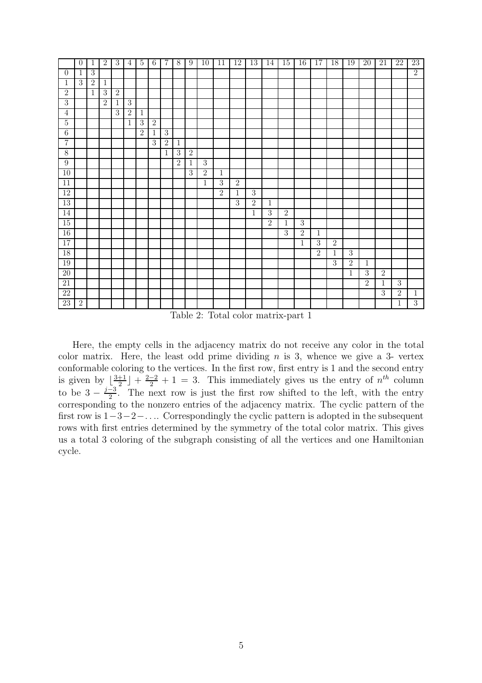<span id="page-4-0"></span>

|                 | $\overline{0}$ | $\mathbf 1$    | 2              | $\mathbf{3}$     | $\overline{4}$ | $\overline{5}$ | $6\phantom{.}6$ | $\overline{7}$ | $\,8\,$        | 9              | 10             | 11             | 12             | 13             | 14             | $15\,$         | 16             | 17             | 18             | 19             | 20             | $21\,$         | $22\,$         | $23\,$         |
|-----------------|----------------|----------------|----------------|------------------|----------------|----------------|-----------------|----------------|----------------|----------------|----------------|----------------|----------------|----------------|----------------|----------------|----------------|----------------|----------------|----------------|----------------|----------------|----------------|----------------|
| $\theta$        | $\mathbf{1}$   | $\overline{3}$ |                |                  |                |                |                 |                |                |                |                |                |                |                |                |                |                |                |                |                |                |                |                | $\overline{2}$ |
| $\mathbf{1}$    | $\mathbf{3}$   | $\overline{2}$ | $\mathbf{1}$   |                  |                |                |                 |                |                |                |                |                |                |                |                |                |                |                |                |                |                |                |                |                |
| $\mathbf{2}$    |                | $\mathbf{1}$   | $\overline{3}$ | $\boldsymbol{2}$ |                |                |                 |                |                |                |                |                |                |                |                |                |                |                |                |                |                |                |                |                |
| $\overline{3}$  |                |                | $\overline{2}$ | $\mathbf{1}$     | $\overline{3}$ |                |                 |                |                |                |                |                |                |                |                |                |                |                |                |                |                |                |                |                |
| $\overline{4}$  |                |                |                | $\overline{3}$   | $\sqrt{2}$     | $\mathbf{1}$   |                 |                |                |                |                |                |                |                |                |                |                |                |                |                |                |                |                |                |
| $\overline{5}$  |                |                |                |                  | $\mathbf 1$    | $\overline{3}$ | $\overline{2}$  |                |                |                |                |                |                |                |                |                |                |                |                |                |                |                |                |                |
| $6\phantom{.}6$ |                |                |                |                  |                | $\overline{2}$ | $\mathbf 1$     | $\overline{3}$ |                |                |                |                |                |                |                |                |                |                |                |                |                |                |                |                |
| $\overline{7}$  |                |                |                |                  |                |                | $\overline{3}$  | $\overline{2}$ | $\mathbf{1}$   |                |                |                |                |                |                |                |                |                |                |                |                |                |                |                |
| $\overline{8}$  |                |                |                |                  |                |                |                 | $\mathbf 1$    | $\overline{3}$ | $\overline{2}$ |                |                |                |                |                |                |                |                |                |                |                |                |                |                |
| $\overline{9}$  |                |                |                |                  |                |                |                 |                | $\overline{2}$ | $\mathbf{1}$   | $\overline{3}$ |                |                |                |                |                |                |                |                |                |                |                |                |                |
| 10              |                |                |                |                  |                |                |                 |                |                | $\overline{3}$ | $\overline{2}$ | $\mathbf{1}$   |                |                |                |                |                |                |                |                |                |                |                |                |
| $11\,$          |                |                |                |                  |                |                |                 |                |                |                | $\mathbf{1}$   | $\mathbf{3}$   | $\overline{2}$ |                |                |                |                |                |                |                |                |                |                |                |
| $\overline{12}$ |                |                |                |                  |                |                |                 |                |                |                |                | $\overline{2}$ | $\mathbf{1}$   | $\overline{3}$ |                |                |                |                |                |                |                |                |                |                |
| 13              |                |                |                |                  |                |                |                 |                |                |                |                |                | $\overline{3}$ | $\sqrt{2}$     | $\mathbf{1}$   |                |                |                |                |                |                |                |                |                |
| 14              |                |                |                |                  |                |                |                 |                |                |                |                |                |                | $\mathbf{1}$   | $\overline{3}$ | $\overline{2}$ |                |                |                |                |                |                |                |                |
| 15              |                |                |                |                  |                |                |                 |                |                |                |                |                |                |                | $\overline{2}$ | $\mathbf{1}$   | $\overline{3}$ |                |                |                |                |                |                |                |
| $16\,$          |                |                |                |                  |                |                |                 |                |                |                |                |                |                |                |                | $\overline{3}$ | $\overline{2}$ | $\,1\,$        |                |                |                |                |                |                |
| 17              |                |                |                |                  |                |                |                 |                |                |                |                |                |                |                |                |                | $\mathbf{1}$   | $\overline{3}$ | $\overline{2}$ |                |                |                |                |                |
| 18              |                |                |                |                  |                |                |                 |                |                |                |                |                |                |                |                |                |                | $\overline{2}$ | $\overline{1}$ | $\overline{3}$ |                |                |                |                |
| 19              |                |                |                |                  |                |                |                 |                |                |                |                |                |                |                |                |                |                |                | $\overline{3}$ | $\overline{2}$ | $\mathbf{1}$   |                |                |                |
| $\overline{20}$ |                |                |                |                  |                |                |                 |                |                |                |                |                |                |                |                |                |                |                |                | $\mathbf{1}$   | $\overline{3}$ | $\overline{2}$ |                |                |
| 21              |                |                |                |                  |                |                |                 |                |                |                |                |                |                |                |                |                |                |                |                |                | $\overline{2}$ | $\mathbf{1}$   | $\overline{3}$ |                |
| 22              |                |                |                |                  |                |                |                 |                |                |                |                |                |                |                |                |                |                |                |                |                |                | $\mathbf{3}$   | $\overline{2}$ | $\mathbf{1}$   |
| 23              | $\overline{2}$ |                |                |                  |                |                |                 |                |                |                |                |                |                |                |                |                |                |                |                |                |                |                | $1\,$          | $\overline{3}$ |

Table 2: Total color matrix-part 1

Here, the empty cells in the adjacency matrix do not receive any color in the total color matrix. Here, the least odd prime dividing  $n$  is 3, whence we give a 3- vertex conformable coloring to the vertices. In the first row, first entry is 1 and the second entry is given by  $\lfloor \frac{3+1}{2} \rfloor$  $\frac{+1}{2}$  +  $\frac{2-2}{2}$  + 1 = 3. This immediately gives us the entry of  $n^{th}$  column to be  $3 - \frac{j-3}{2}$  $\frac{-3}{2}$ . The next row is just the first row shifted to the left, with the entry corresponding to the nonzero entries of the adjacency matrix. The cyclic pattern of the first row is 1−3−2−. . .. Correspondingly the cyclic pattern is adopted in the subsequent rows with first entries determined by the symmetry of the total color matrix. This gives us a total 3 coloring of the subgraph consisting of all the vertices and one Hamiltonian cycle.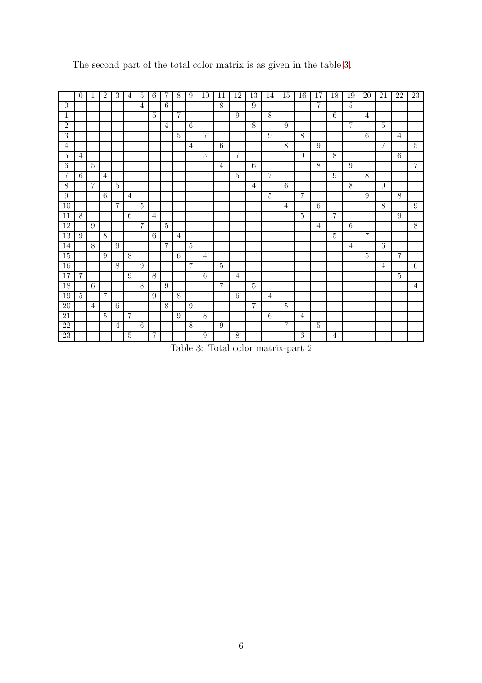<span id="page-5-0"></span>

|                  | $\Omega$        | $\mathbf{1}$   | 2              | $\overline{3}$ | 4              | $\bf 5$          | 6              | 7                | 8              | 9              | 10               | 11             | 12             | $\overline{13}$  | 14 | 15              | 16             | 17             | 18             | 19              | 20             | 21               | 22               | $23\,$           |
|------------------|-----------------|----------------|----------------|----------------|----------------|------------------|----------------|------------------|----------------|----------------|------------------|----------------|----------------|------------------|----|-----------------|----------------|----------------|----------------|-----------------|----------------|------------------|------------------|------------------|
| $\theta$         |                 |                |                |                |                | $\overline{4}$   |                | $\,6\,$          |                |                |                  | 8              |                | $\boldsymbol{9}$ |    |                 |                | $\overline{7}$ |                | $\overline{5}$  |                |                  |                  |                  |
| $\mathbf{1}$     |                 |                |                |                |                |                  | $\overline{5}$ |                  | $\overline{7}$ |                |                  |                | 9              |                  | 8  |                 |                |                | $\,6\,$        |                 | $\overline{4}$ |                  |                  |                  |
| $\overline{2}$   |                 |                |                |                |                |                  |                | 4                |                | 6              |                  |                |                | $\overline{8}$   |    | 9               |                |                |                | $\overline{7}$  |                | $\overline{5}$   |                  |                  |
| $\overline{3}$   |                 |                |                |                |                |                  |                |                  | $\overline{5}$ |                | $\overline{7}$   |                |                |                  | 9  |                 | $8\,$          |                |                |                 | 6              |                  | $\overline{4}$   |                  |
| $\overline{4}$   |                 |                |                |                |                |                  |                |                  |                | $\overline{4}$ |                  | 6              |                |                  |    | $8\,$           |                | 9              |                |                 |                | $\overline{7}$   |                  | $\overline{5}$   |
| $\overline{5}$   | $\overline{4}$  |                |                |                |                |                  |                |                  |                |                | $\overline{5}$   |                | $\overline{7}$ |                  |    |                 | 9              |                | 8              |                 |                |                  | $\,6\,$          |                  |
| 6                |                 | 5              |                |                |                |                  |                |                  |                |                |                  | 4              |                | $6\phantom{.}6$  |    |                 |                | 8              |                | 9               |                |                  |                  | $\overline{7}$   |
| 7                | 6               |                | 4              |                |                |                  |                |                  |                |                |                  |                | $\overline{5}$ |                  | 7  |                 |                |                | 9              |                 | 8              |                  |                  |                  |
| $8\,$            |                 | $\overline{7}$ |                | $\overline{5}$ |                |                  |                |                  |                |                |                  |                |                | $\overline{4}$   |    | 6               |                |                |                | 8               |                | $\boldsymbol{9}$ |                  |                  |
| $\boldsymbol{9}$ |                 |                | $6\,$          |                | 4              |                  |                |                  |                |                |                  |                |                |                  | 5  |                 | $\overline{7}$ |                |                |                 | $9\,$          |                  | 8                |                  |
| 10               |                 |                |                | 7              |                | $\bf 5$          |                |                  |                |                |                  |                |                |                  |    | $\overline{4}$  |                | 6              |                |                 |                | $8\,$            |                  | $\boldsymbol{9}$ |
| $11\,$           | $8\,$           |                |                |                | $\,6\,$        |                  | 4              |                  |                |                |                  |                |                |                  |    |                 | $\overline{5}$ |                | $\overline{7}$ |                 |                |                  | $\boldsymbol{9}$ |                  |
| 12               |                 | 9              |                |                |                | $\overline{7}$   |                | $\overline{5}$   |                |                |                  |                |                |                  |    |                 |                | $\overline{4}$ |                | $6\overline{6}$ |                |                  |                  | $\overline{8}$   |
| 13               | 9               |                | 8              |                |                |                  | 6              |                  | $\overline{4}$ |                |                  |                |                |                  |    |                 |                |                | $\overline{5}$ |                 | $\overline{7}$ |                  |                  |                  |
| 14               |                 | 8              |                | 9              |                |                  |                | $\overline{7}$   |                | $\overline{5}$ |                  |                |                |                  |    |                 |                |                |                | $\overline{4}$  |                | $6\phantom{.}6$  |                  |                  |
| $\overline{15}$  |                 |                | 9              |                | $\,8\,$        |                  |                |                  | 6              |                | 4                |                |                |                  |    |                 |                |                |                |                 | $\overline{5}$ |                  | $\overline{7}$   |                  |
| 16               |                 |                |                | $8\,$          |                | $\boldsymbol{9}$ |                |                  |                | $\overline{7}$ |                  | 5              |                |                  |    |                 |                |                |                |                 |                | $\overline{4}$   |                  | 6                |
| 17               | $\overline{7}$  |                |                |                | 9              |                  | $8\,$          |                  |                |                | $\,6\,$          |                | 4              |                  |    |                 |                |                |                |                 |                |                  | $\overline{5}$   |                  |
| 18               |                 | 6              |                |                |                | 8                |                | $\boldsymbol{9}$ |                |                |                  | $\overline{7}$ |                | $\overline{5}$   |    |                 |                |                |                |                 |                |                  |                  | 4                |
| $19\,$           | $5\overline{)}$ |                | $\overline{7}$ |                |                |                  | 9              |                  | 8              |                |                  |                | 6              |                  | 4  |                 |                |                |                |                 |                |                  |                  |                  |
| $20\,$           |                 | 4              |                | 6              |                |                  |                | 8                |                | 9              |                  |                |                | $\overline{7}$   |    | $5\overline{)}$ |                |                |                |                 |                |                  |                  |                  |
| $21\,$           |                 |                | $5\,$          |                | 7              |                  |                |                  | 9              |                | 8                |                |                |                  | 6  |                 | $\overline{4}$ |                |                |                 |                |                  |                  |                  |
| $\overline{22}$  |                 |                |                | 4              |                | $\,6\,$          |                |                  |                | $8\,$          |                  | 9              |                |                  |    | $\overline{7}$  |                | $\bf 5$        |                |                 |                |                  |                  |                  |
| 23               |                 |                |                |                | $\overline{5}$ |                  | 7              |                  |                |                | $\boldsymbol{9}$ |                | $8\,$          |                  |    |                 | $\,6\,$        |                | $\overline{4}$ |                 |                |                  |                  |                  |

The second part of the total color matrix is as given in the table [3.](#page-5-0)

Table 3: Total color matrix-part 2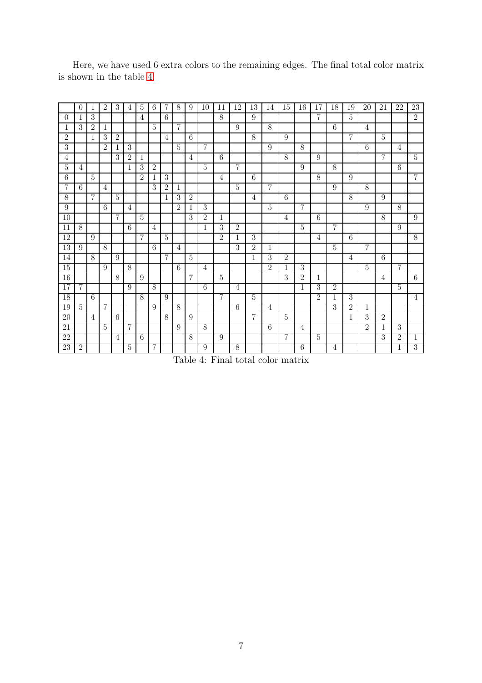<span id="page-6-0"></span>

|                 | $\theta$       | 1              | 2              | 3              | 4              | 5              | 6              | 7              | 8               | 9              | 10             | 11             | 12              | 13             | 14             | 15             | 16             | 17             | 18             | 19             | 20             | 21             | 22              | 23             |
|-----------------|----------------|----------------|----------------|----------------|----------------|----------------|----------------|----------------|-----------------|----------------|----------------|----------------|-----------------|----------------|----------------|----------------|----------------|----------------|----------------|----------------|----------------|----------------|-----------------|----------------|
| $\theta$        | 1              | 3              |                |                |                | 4              |                | 6              |                 |                |                | 8              |                 | 9              |                |                |                | 7              |                | 5              |                |                |                 | $\overline{2}$ |
| 1               | 3              | $\overline{2}$ | $\mathbf{1}$   |                |                |                | $\overline{5}$ |                | $\overline{7}$  |                |                |                | 9               |                | 8              |                |                |                | 6              |                | $\overline{4}$ |                |                 |                |
| $\overline{2}$  |                | $\mathbf{1}$   | $\overline{3}$ | $\overline{2}$ |                |                |                | $\overline{4}$ |                 | 6              |                |                |                 | 8              |                | 9              |                |                |                | $\overline{7}$ |                | $\overline{5}$ |                 |                |
| $\overline{3}$  |                |                | $\overline{2}$ | 1              | $\mathbf{3}$   |                |                |                | $\overline{5}$  |                | $\overline{7}$ |                |                 |                | 9              |                | $8\,$          |                |                |                | 6              |                | $\overline{4}$  |                |
| $\overline{4}$  |                |                |                | $\overline{3}$ | $\overline{2}$ | 1              |                |                |                 | $\overline{4}$ |                | 6              |                 |                |                | 8              |                | 9              |                |                |                | $\overline{7}$ |                 | $\overline{5}$ |
| $\overline{5}$  | $\overline{4}$ |                |                |                | 1              | 3              | $\overline{2}$ |                |                 |                | $\overline{5}$ |                | $\overline{7}$  |                |                |                | 9              |                | 8              |                |                |                | $6\phantom{.}6$ |                |
| 6               |                | $\overline{5}$ |                |                |                | $\overline{2}$ | 1              | 3              |                 |                |                | 4              |                 | $\,6\,$        |                |                |                | 8              |                | 9              |                |                |                 | $\overline{7}$ |
| 7               | 6              |                | $\overline{4}$ |                |                |                | 3              | $\overline{2}$ | 1               |                |                |                | $\overline{5}$  |                | 7              |                |                |                | 9              |                | 8              |                |                 |                |
| $8\,$           |                | $\overline{7}$ |                | $\bf 5$        |                |                |                | 1              | 3               | $\overline{2}$ |                |                |                 | 4              |                | 6              |                |                |                | 8              |                | 9              |                 |                |
| 9               |                |                | 6              |                | $\overline{4}$ |                |                |                | $\overline{2}$  | 1              | $\overline{3}$ |                |                 |                | $\overline{5}$ |                | $\overline{7}$ |                |                |                | 9              |                | 8               |                |
| 10              |                |                |                | 7              |                | 5              |                |                |                 | 3              | $\overline{2}$ | 1              |                 |                |                | $\overline{4}$ |                | 6              |                |                |                | 8              |                 | 9              |
| 11              | 8              |                |                |                | 6              |                | $\overline{4}$ |                |                 |                | $\mathbf 1$    | 3              | $\overline{2}$  |                |                |                | $\overline{5}$ |                | 7              |                |                |                | 9               |                |
| 12              |                | 9              |                |                |                | 7              |                | 5              |                 |                |                | $\overline{2}$ | 1               | 3              |                |                |                | 4              |                | 6              |                |                |                 | 8              |
| 13              | 9              |                | 8              |                |                |                | 6              |                | 4               |                |                |                | 3               | $\overline{2}$ | 1              |                |                |                | $\overline{5}$ |                | 7              |                |                 |                |
| 14              |                | 8              |                | 9              |                |                |                | $\overline{7}$ |                 | $\overline{5}$ |                |                |                 | 1              | $\overline{3}$ | $\overline{2}$ |                |                |                | 4              |                | 6              |                 |                |
| $\overline{15}$ |                |                | $9\,$          |                | $\overline{8}$ |                |                |                | $6\overline{6}$ |                | $\overline{4}$ |                |                 |                | $\overline{2}$ | 1              | $\overline{3}$ |                |                |                | $\overline{5}$ |                | $\overline{7}$  |                |
| $\overline{16}$ |                |                |                | $\overline{8}$ |                | 9              |                |                |                 | $\overline{7}$ |                | 5              |                 |                |                | 3              | $\overline{2}$ | 1              |                |                |                | $\overline{4}$ |                 | $\overline{6}$ |
| $\overline{17}$ | $\overline{7}$ |                |                |                | 9              |                | 8              |                |                 |                | $\overline{6}$ |                | 4               |                |                |                | $\mathbf{1}$   | $\overline{3}$ | $\overline{2}$ |                |                |                | $\overline{5}$  |                |
| $\overline{18}$ |                | 6              |                |                |                | 8              |                | 9              |                 |                |                | 7              |                 | $\overline{5}$ |                |                |                | $\overline{2}$ | $\mathbf{1}$   | $\overline{3}$ |                |                |                 | $\overline{4}$ |
| 19              | $\overline{5}$ |                | 7              |                |                |                | 9              |                | $\overline{8}$  |                |                |                | $6\overline{6}$ |                | 4              |                |                |                | 3              | $\overline{2}$ | 1              |                |                 |                |
| 20              |                | $\overline{4}$ |                | 6              |                |                |                | 8              |                 | 9              |                |                |                 | $\overline{7}$ |                | 5              |                |                |                | 1              | 3              | $\overline{2}$ | 3               |                |
| 21              |                |                | $\overline{5}$ |                | 7              |                |                |                | 9               |                | 8              |                |                 |                | 6              |                | 4              |                |                |                | $\overline{2}$ | 1              |                 |                |
| 22              |                |                |                | $\overline{4}$ |                | 6              | 7              |                |                 | 8              |                | 9              |                 |                |                | 7              |                | $\overline{5}$ |                |                |                | 3              | $\overline{2}$  | 1              |
| 23              | $\overline{2}$ |                |                |                | 5              |                |                |                |                 |                | 9              |                | 8               |                |                |                | 6              |                | 4              |                |                |                | 1               | 3              |

Here, we have used 6 extra colors to the remaining edges. The final total color matrix is shown in the table [4.](#page-6-0)

Table 4: Final total color matrix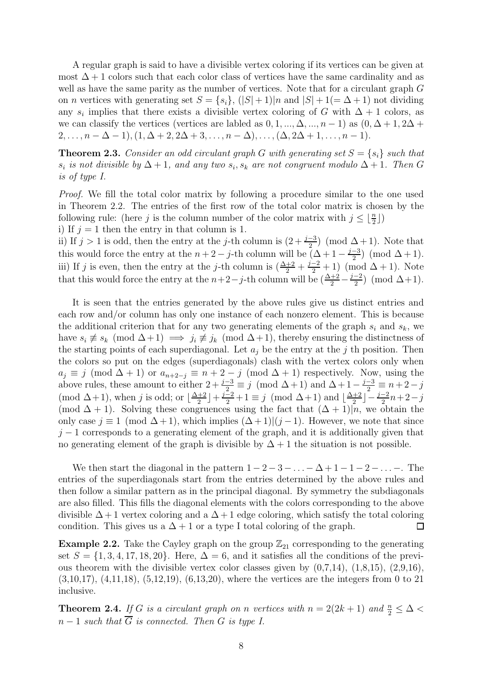A regular graph is said to have a divisible vertex coloring if its vertices can be given at most  $\Delta + 1$  colors such that each color class of vertices have the same cardinality and as well as have the same parity as the number of vertices. Note that for a circulant graph G on *n* vertices with generating set  $S = \{s_i\}, (|S|+1)|n \text{ and } |S|+1(=\Delta+1)$  not dividing any  $s_i$  implies that there exists a divisible vertex coloring of G with  $\Delta + 1$  colors, as we can classify the vertices (vertices are labled as  $0, 1, ..., \Delta, ..., n-1$ ) as  $(0, \Delta+1, 2\Delta+1)$  $2, \ldots, n - \Delta - 1$ ,  $(1, \Delta + 2, 2\Delta + 3, \ldots, n - \Delta)$ ,  $\ldots, (\Delta, 2\Delta + 1, \ldots, n - 1)$ .

**Theorem 2.3.** Consider an odd circulant graph G with generating set  $S = \{s_i\}$  such that  $s_i$  is not divisible by  $\Delta + 1$ , and any two  $s_i, s_k$  are not congruent modulo  $\Delta + 1$ . Then G is of type I.

Proof. We fill the total color matrix by following a procedure similar to the one used in Theorem 2.2. The entries of the first row of the total color matrix is chosen by the following rule: (here *j* is the column number of the color matrix with  $j \leq \lfloor \frac{n}{2} \rfloor$ ) i) If  $j = 1$  then the entry in that column is 1.

ii) If  $j > 1$  is odd, then the entry at the j-th column is  $(2 + \frac{j-3}{2})$  (mod  $\Delta + 1$ ). Note that this would force the entry at the  $n+2-j$ -th column will be  $(\Delta+1-\frac{j-3}{2})$  $\frac{-3}{2}$  (mod  $\Delta + 1$ ). iii) If j is even, then the entry at the j-th column is  $(\frac{\Delta+2}{2} + \frac{j-2}{2} + 1)$  (mod  $\Delta + 1$ ). Note that this would force the entry at the  $n+2-j$ -th column will be  $\left(\frac{\Delta+2}{2}-\frac{j-2}{2}\right)$  $\frac{-2}{2}$  (mod  $\Delta+1$ ).

It is seen that the entries generated by the above rules give us distinct entries and each row and/or column has only one instance of each nonzero element. This is because the additional criterion that for any two generating elements of the graph  $s_i$  and  $s_k$ , we have  $s_i \not\equiv s_k \pmod{\Delta+1} \implies j_i \not\equiv j_k \pmod{\Delta+1}$ , thereby ensuring the distinctness of the starting points of each superdiagonal. Let  $a_i$  be the entry at the j th position. Then the colors so put on the edges (superdiagonals) clash with the vertex colors only when  $a_j \equiv j \pmod{\Delta + 1}$  or  $a_{n+2-j} \equiv n+2-j \pmod{\Delta + 1}$  respectively. Now, using the above rules, these amount to either  $2 + \frac{j-3}{2} \equiv j \pmod{\Delta + 1}$  and  $\Delta + 1 - \frac{j-3}{2} \equiv n + 2 - j$ (mod  $\Delta+1$ ), when j is odd; or  $\lfloor \frac{\Delta+2}{2} \rfloor$  $\frac{+2}{2}$  +  $\frac{j-2}{2}$  + 1  $\equiv j \pmod{\Delta+1}$  and  $\lfloor \frac{\Delta+2}{2} \rfloor$  $\frac{+2}{2}$ ] –  $\frac{j-2}{2}n+2-j$ (mod  $\Delta + 1$ ). Solving these congruences using the fact that  $(\Delta + 1)|n$ , we obtain the only case  $j \equiv 1 \pmod{\Delta + 1}$ , which implies  $(\Delta + 1)|(j - 1)$ . However, we note that since  $j-1$  corresponds to a generating element of the graph, and it is additionally given that no generating element of the graph is divisible by  $\Delta + 1$  the situation is not possible.

We then start the diagonal in the pattern  $1 - 2 - 3 - \ldots - \Delta + 1 - 1 - 2 - \ldots$ . The entries of the superdiagonals start from the entries determined by the above rules and then follow a similar pattern as in the principal diagonal. By symmetry the subdiagonals are also filled. This fills the diagonal elements with the colors corresponding to the above divisible  $\Delta + 1$  vertex coloring and a  $\Delta + 1$  edge coloring, which satisfy the total coloring condition. This gives us a  $\Delta + 1$  or a type I total coloring of the graph.  $\Box$ 

**Example 2.2.** Take the Cayley graph on the group  $\mathbb{Z}_{21}$  corresponding to the generating set  $S = \{1, 3, 4, 17, 18, 20\}$ . Here,  $\Delta = 6$ , and it satisfies all the conditions of the previous theorem with the divisible vertex color classes given by  $(0,7,14)$ ,  $(1,8,15)$ ,  $(2,9,16)$ , (3,10,17), (4,11,18), (5,12,19), (6,13,20), where the vertices are the integers from 0 to 21 inclusive.

**Theorem 2.4.** If G is a circulant graph on n vertices with  $n = 2(2k + 1)$  and  $\frac{n}{2} \leq \Delta$  $n-1$  such that  $\overline{G}$  is connected. Then G is type I.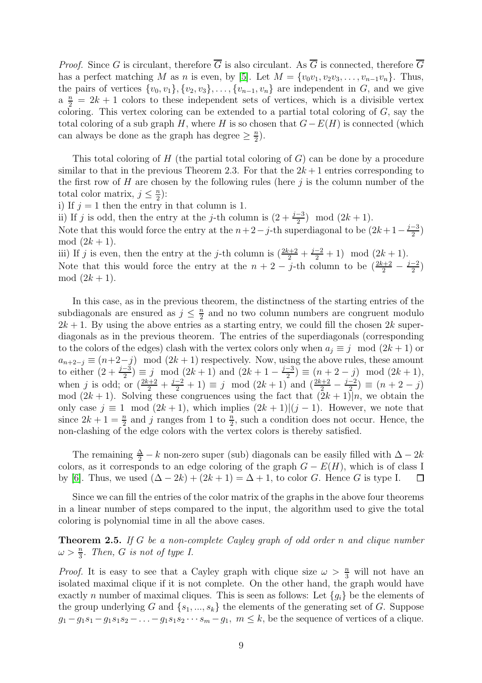*Proof.* Since G is circulant, therefore  $\overline{G}$  is also circulant. As  $\overline{G}$  is connected, therefore  $\overline{G}$ has a perfect matching M as n is even, by [\[5\]](#page-10-2). Let  $M = \{v_0v_1, v_2v_3, \ldots, v_{n-1}v_n\}$ . Thus, the pairs of vertices  $\{v_0, v_1\}, \{v_2, v_3\}, \ldots, \{v_{n-1}, v_n\}$  are independent in G, and we give  $a \frac{n}{2} = 2k + 1$  colors to these independent sets of vertices, which is a divisible vertex coloring. This vertex coloring can be extended to a partial total coloring of  $G$ , say the total coloring of a sub graph H, where H is so chosen that  $G-E(H)$  is connected (which can always be done as the graph has degree  $\geq \frac{n}{2}$  $\frac{n}{2}$ .

This total coloring of H (the partial total coloring of  $G$ ) can be done by a procedure similar to that in the previous Theorem 2.3. For that the  $2k+1$  entries corresponding to the first row of  $H$  are chosen by the following rules (here  $j$  is the column number of the total color matrix,  $j \leq \frac{n}{2}$  $\frac{n}{2}$ ):

i) If  $j = 1$  then the entry in that column is 1.

ii) If j is odd, then the entry at the j-th column is  $(2 + \frac{j-3}{2})$  mod  $(2k + 1)$ .

Note that this would force the entry at the  $n+2-j$ -th superdiagonal to be  $(2k+1-\frac{j-3}{2})$  $\frac{-3}{2}$ mod  $(2k + 1)$ .

iii) If j is even, then the entry at the j-th column is  $(\frac{2k+2}{2} + \frac{j-2}{2} + 1) \mod (2k+1)$ . Note that this would force the entry at the  $n + 2 - j$ -th column to be  $\left(\frac{2k+2}{2} - \frac{j-2}{2}\right)$  $\frac{-2}{2}$ mod  $(2k + 1)$ .

In this case, as in the previous theorem, the distinctness of the starting entries of the subdiagonals are ensured as  $j \leq \frac{n}{2}$  $\frac{n}{2}$  and no two column numbers are congruent modulo  $2k + 1$ . By using the above entries as a starting entry, we could fill the chosen  $2k$  superdiagonals as in the previous theorem. The entries of the superdiagonals (corresponding to the colors of the edges) clash with the vertex colors only when  $a_i \equiv j \mod (2k+1)$  or  $a_{n+2-j} \equiv (n+2-j) \mod (2k+1)$  respectively. Now, using the above rules, these amount to either  $(2 + \frac{j-3}{2}) \equiv j \mod (2k+1)$  and  $(2k+1 - \frac{j-3}{2})$  $\frac{-3}{2}$ )  $\equiv (n+2-j) \mod (2k+1),$ when j is odd; or  $(\frac{2k+2}{2} + \frac{j-2}{2} + 1) \equiv j \mod (2k+1)$  and  $(\frac{2k+2}{2} - \frac{j-2}{2})$  $\frac{-2}{2}$ )  $\equiv (n+2-j)$ mod  $(2k+1)$ . Solving these congruences using the fact that  $(2k+1)|n$ , we obtain the only case  $j \equiv 1 \mod (2k+1)$ , which implies  $(2k+1)(j-1)$ . However, we note that since  $2k+1=\frac{n}{2}$  and j ranges from 1 to  $\frac{n}{2}$ , such a condition does not occur. Hence, the non-clashing of the edge colors with the vertex colors is thereby satisfied.

The remaining  $\frac{\Delta}{2} - k$  non-zero super (sub) diagonals can be easily filled with  $\Delta - 2k$ colors, as it corresponds to an edge coloring of the graph  $G - E(H)$ , which is of class I by [\[6\]](#page-10-3). Thus, we used  $(\Delta - 2k) + (2k + 1) = \Delta + 1$ , to color G. Hence G is type I.  $\Box$ 

Since we can fill the entries of the color matrix of the graphs in the above four theorems in a linear number of steps compared to the input, the algorithm used to give the total coloring is polynomial time in all the above cases.

**Theorem 2.5.** If G be a non-complete Cayley graph of odd order n and clique number  $\omega > \frac{n}{3}$ . Then, G is not of type I.

*Proof.* It is easy to see that a Cayley graph with clique size  $\omega > \frac{n}{3}$  will not have an isolated maximal clique if it is not complete. On the other hand, the graph would have exactly n number of maximal cliques. This is seen as follows: Let  $\{g_i\}$  be the elements of the group underlying G and  $\{s_1, ..., s_k\}$  the elements of the generating set of G. Suppose  $g_1-g_1s_1-g_1s_1s_2-\ldots-g_1s_1s_2\cdots s_m-g_1, m\leq k$ , be the sequence of vertices of a clique.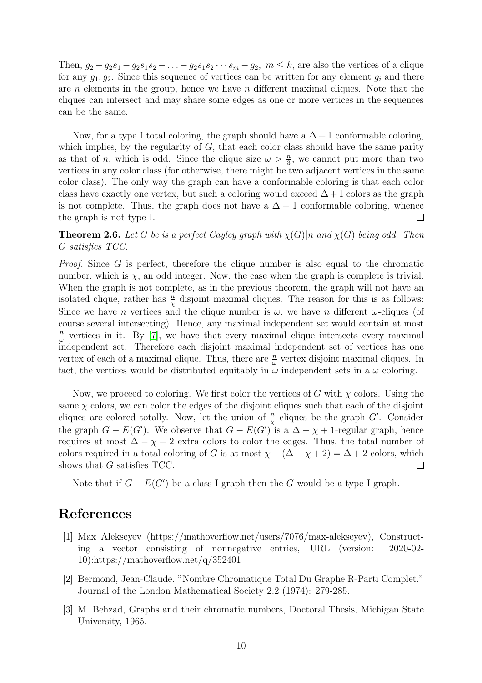Then,  $g_2 - g_2s_1 - g_2s_1s_2 - \ldots - g_2s_1s_2 \cdots s_m - g_2$ ,  $m \leq k$ , are also the vertices of a clique for any  $g_1, g_2$ . Since this sequence of vertices can be written for any element  $g_i$  and there are  $n$  elements in the group, hence we have  $n$  different maximal cliques. Note that the cliques can intersect and may share some edges as one or more vertices in the sequences can be the same.

Now, for a type I total coloring, the graph should have a  $\Delta + 1$  conformable coloring, which implies, by the regularity of  $G$ , that each color class should have the same parity as that of n, which is odd. Since the clique size  $\omega > \frac{n}{3}$ , we cannot put more than two vertices in any color class (for otherwise, there might be two adjacent vertices in the same color class). The only way the graph can have a conformable coloring is that each color class have exactly one vertex, but such a coloring would exceed  $\Delta + 1$  colors as the graph is not complete. Thus, the graph does not have a  $\Delta + 1$  conformable coloring, whence the graph is not type I.  $\Box$ 

**Theorem 2.6.** Let G be is a perfect Cayley graph with  $\chi(G)|n$  and  $\chi(G)$  being odd. Then G satisfies TCC.

*Proof.* Since  $G$  is perfect, therefore the clique number is also equal to the chromatic number, which is  $\chi$ , an odd integer. Now, the case when the graph is complete is trivial. When the graph is not complete, as in the previous theorem, the graph will not have an isolated clique, rather has  $\frac{n}{x}$  disjoint maximal cliques. The reason for this is as follows: Since we have *n* vertices and the clique number is  $\omega$ , we have *n* different  $\omega$ -cliques (of course several intersecting). Hence, any maximal independent set would contain at most n  $\frac{n}{\omega}$  vertices in it. By [\[7\]](#page-10-4), we have that every maximal clique intersects every maximal independent set. Therefore each disjoint maximal independent set of vertices has one vertex of each of a maximal clique. Thus, there are  $\frac{n}{\omega}$  vertex disjoint maximal cliques. In fact, the vertices would be distributed equitably in  $\omega$  independent sets in a  $\omega$  coloring.

Now, we proceed to coloring. We first color the vertices of G with  $\chi$  colors. Using the same  $\chi$  colors, we can color the edges of the disjoint cliques such that each of the disjoint cliques are colored totally. Now, let the union of  $\frac{n}{\chi}$  cliques be the graph G'. Consider the graph  $G - E(G')$ . We observe that  $G - E(G')$  is a  $\Delta - \chi + 1$ -regular graph, hence requires at most  $\Delta - \chi + 2$  extra colors to color the edges. Thus, the total number of colors required in a total coloring of G is at most  $\chi + (\Delta - \chi + 2) = \Delta + 2$  colors, which shows that G satisfies TCC.  $\Box$ 

Note that if  $G - E(G')$  be a class I graph then the G would be a type I graph.

## <span id="page-9-1"></span>References

- [1] Max Alekseyev (https://mathoverflow.net/users/7076/max-alekseyev), Constructing a vector consisting of nonnegative entries, URL (version: 2020-02- 10):https://mathoverflow.net/q/352401
- <span id="page-9-2"></span>[2] Bermond, Jean-Claude. "Nombre Chromatique Total Du Graphe R-Parti Complet." Journal of the London Mathematical Society 2.2 (1974): 279-285.
- <span id="page-9-0"></span>[3] M. Behzad, Graphs and their chromatic numbers, Doctoral Thesis, Michigan State University, 1965.